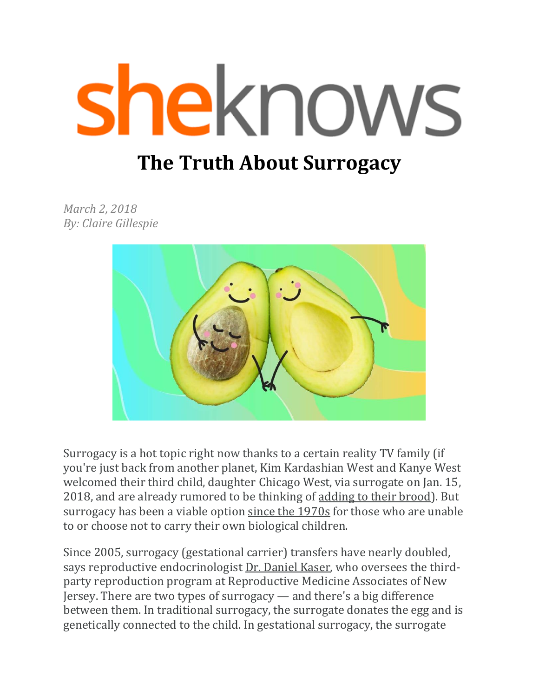# sheknows

# **The Truth About Surrogacy**

*March 2, 2018 By: Claire Gillespie* 



Surrogacy is a hot topic right now thanks to a certain reality TV family (if you're just back from another planet, Kim Kardashian West and Kanye West welcomed their third child, daughter Chicago West, via surrogate on Jan. 15, 2018, and are already rumored to be thinking of [adding to their brood\)](http://www.sheknows.com/parenting/articles/1137968/kim-kardashian-fourth-child). But surrogacy has been a viable option [since the 1970s](http://www.modernfamilysurrogacy.com/page/surrogacy_history) for those who are unable to or choose not to carry their own biological children.

Since 2005, surrogacy (gestational carrier) transfers have nearly doubled, says reproductive endocrinologist [Dr. Daniel Kaser,](http://www.rmanj.com/physicians/daniel-j-kaser/) who oversees the thirdparty reproduction program at Reproductive Medicine Associates of New Jersey. There are two types of surrogacy — and there's a big difference between them. In traditional surrogacy, the surrogate donates the egg and is genetically connected to the child. In gestational surrogacy, the surrogate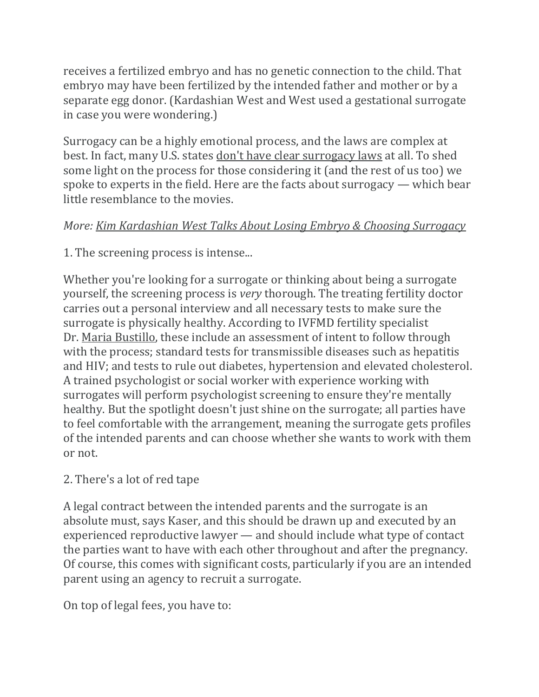receives a fertilized embryo and has no genetic connection to the child. That embryo may have been fertilized by the intended father and mother or by a separate egg donor. (Kardashian West and West used a gestational surrogate in case you were wondering.)

Surrogacy can be a highly emotional process, and the laws are complex at best. In fact, many U.S. states [don't have clear surrogacy laws](http://www.allaboutsurrogacy.com/surrogacylaws.htm) at all. To shed some light on the process for those considering it (and the rest of us too) we spoke to experts in the field. Here are the facts about surrogacy — which bear little resemblance to the movies.

#### *More: [Kim Kardashian West Talks About Losing Embryo & Choosing Surrogacy](http://www.sheknows.com/parenting/articles/1137342/kim-kardashian-west-lost-embryo-surrogate)*

1. The screening process is intense...

Whether you're looking for a surrogate or thinking about being a surrogate yourself, the screening process is *very* thorough. The treating fertility doctor carries out a personal interview and all necessary tests to make sure the surrogate is physically healthy. According to IVFMD fertility specialist Dr. [Maria Bustillo,](https://www.ivfmd.com/maria-bustillo-md/) these include an assessment of intent to follow through with the process; standard tests for transmissible diseases such as hepatitis and HIV; and tests to rule out diabetes, hypertension and elevated cholesterol. A trained psychologist or social worker with experience working with surrogates will perform psychologist screening to ensure they're mentally healthy. But the spotlight doesn't just shine on the surrogate; all parties have to feel comfortable with the arrangement, meaning the surrogate gets profiles of the intended parents and can choose whether she wants to work with them or not.

## 2. There's a lot of red tape

A legal contract between the intended parents and the surrogate is an absolute must, says Kaser, and this should be drawn up and executed by an experienced reproductive lawyer — and should include what type of contact the parties want to have with each other throughout and after the pregnancy. Of course, this comes with significant costs, particularly if you are an intended parent using an agency to recruit a surrogate.

On top of legal fees, you have to: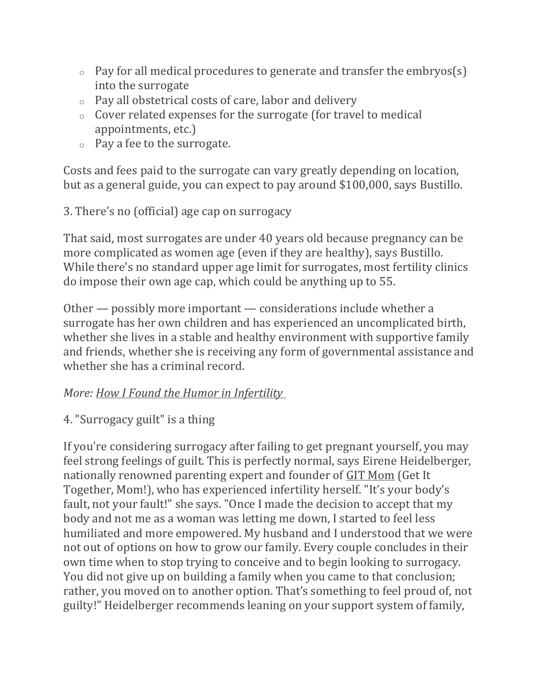- $\circ$  Pay for all medical procedures to generate and transfer the embryos(s) into the surrogate
- o Pay all obstetrical costs of care, labor and delivery
- o Cover related expenses for the surrogate (for travel to medical appointments, etc.)
- o Pay a fee to the surrogate.

Costs and fees paid to the surrogate can vary greatly depending on location, but as a general guide, you can expect to pay around \$100,000, says Bustillo.

3. There's no (official) age cap on surrogacy

That said, most surrogates are under 40 years old because pregnancy can be more complicated as women age (even if they are healthy), says Bustillo. While there's no standard upper age limit for surrogates, most fertility clinics do impose their own age cap, which could be anything up to 55.

Other — possibly more important — considerations include whether a surrogate has her own children and has experienced an uncomplicated birth, whether she lives in a stable and healthy environment with supportive family and friends, whether she is receiving any form of governmental assistance and whether she has a criminal record.

## *More: [How I Found the Humor in Infertility](http://www.sheknows.com/parenting/articles/1135975/humor-in-infertility)*

## 4. "Surrogacy guilt" is a thing

If you're considering surrogacy after failing to get pregnant yourself, you may feel strong feelings of guilt. This is perfectly normal, says Eirene Heidelberger, nationally renowned parenting expert and founder of [GIT Mom](http://www.gitmom.com/) (Get It Together, Mom!), who has experienced infertility herself. "It's your body's fault, not your fault!" she says. "Once I made the decision to accept that my body and not me as a woman was letting me down, I started to feel less humiliated and more empowered. My husband and I understood that we were not out of options on how to grow our family. Every couple concludes in their own time when to stop trying to conceive and to begin looking to surrogacy. You did not give up on building a family when you came to that conclusion; rather, you moved on to another option. That's something to feel proud of, not guilty!" Heidelberger recommends leaning on your support system of family,